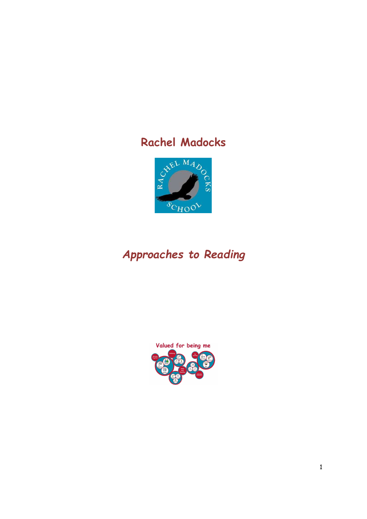

# Approaches to Reading

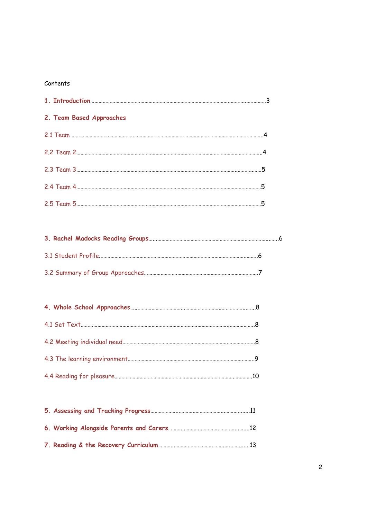#### Contents

| 2. Team Based Approaches |  |  |  |  |
|--------------------------|--|--|--|--|
|                          |  |  |  |  |
|                          |  |  |  |  |
|                          |  |  |  |  |
|                          |  |  |  |  |
|                          |  |  |  |  |

# 3. Rachel Madocks Reading Groups…...……………………………………………………………………...…...6 3.1 Student Profile..…………………………………………………………………………………………..……..6 3.2 Summary of Group Approaches…………………………………………………..…………………..7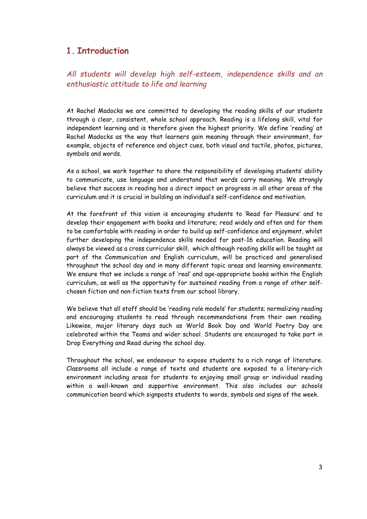### 1. Introduction

All students will develop high self-esteem, independence skills and an enthusiastic attitude to life and learning

At Rachel Madocks we are committed to developing the reading skills of our students through a clear, consistent, whole school approach. Reading is a lifelong skill, vital for independent learning and is therefore given the highest priority. We define 'reading' at Rachel Madocks as the way that learners gain meaning through their environment, for example, objects of reference and object cues, both visual and tactile, photos, pictures, symbols and words.

As a school, we work together to share the responsibility of developing students' ability to communicate, use language and understand that words carry meaning. We strongly believe that success in reading has a direct impact on progress in all other areas of the curriculum and it is crucial in building an individual's self-confidence and motivation.

At the forefront of this vision is encouraging students to 'Read for Pleasure' and to develop their engagement with books and literature; read widely and often and for them to be comfortable with reading in order to build up self-confidence and enjoyment, whilst further developing the independence skills needed for post-16 education. Reading will always be viewed as a cross curricular skill, which although reading skills will be taught as part of the Communication and English curriculum, will be practiced and generalised throughout the school day and in many different topic areas and learning environments. We ensure that we include a range of 'real' and age-appropriate books within the English curriculum, as well as the opportunity for sustained reading from a range of other self‐ chosen fiction and non‐fiction texts from our school library.

We believe that all staff should be 'reading role models' for students; normalizing reading and encouraging students to read through recommendations from their own reading. Likewise, major literary days such as World Book Day and World Poetry Day are celebrated within the Teams and wider school. Students are encouraged to take part in Drop Everything and Read during the school day.

Throughout the school, we endeavour to expose students to a rich range of literature. Classrooms all include a range of texts and students are exposed to a literary-rich environment including areas for students to enjoying small group or individual reading within a well-known and supportive environment. This also includes our schools communication board which signposts students to words, symbols and signs of the week.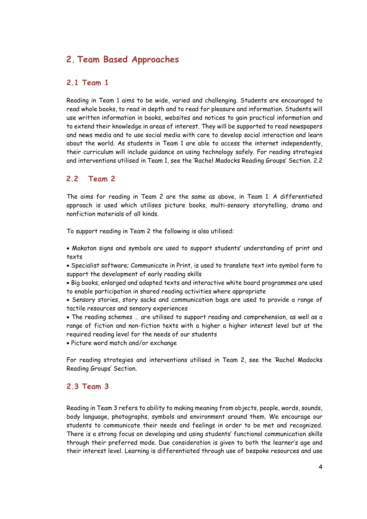### 2. Team Based Approaches

### 2.1 Team 1

Reading in Team 1 aims to be wide, varied and challenging. Students are encouraged to read whole books, to read in depth and to read for pleasure and information. Students will use written information in books, websites and notices to gain practical information and to extend their knowledge in areas of interest. They will be supported to read newspapers and news media and to use social media with care to develop social interaction and learn about the world. As students in Team 1 are able to access the internet independently, their curriculum will include guidance on using technology safely. For reading strategies and interventions utilised in Team 1, see the 'Rachel Madocks Reading Groups' Section. 2.2

### 2.2 Team 2

The aims for reading in Team 2 are the same as above, in Team 1. A differentiated approach is used which utilises picture books, multi-sensory storytelling, drama and nonfiction materials of all kinds.

To support reading in Team 2 the following is also utilised:

 Makaton signs and symbols are used to support students' understanding of print and texts

 Specialist software; Communicate in Print, is used to translate text into symbol form to support the development of early reading skills

 Big books, enlarged and adapted texts and interactive white board programmes are used to enable participation in shared reading activities where appropriate

 Sensory stories, story sacks and communication bags are used to provide a range of tactile resources and sensory experiences

 The reading schemes … are utilised to support reading and comprehension, as well as a range of fiction and non-fiction texts with a higher a higher interest level but at the required reading level for the needs of our students

Picture word match and/or exchange

For reading strategies and interventions utilised in Team 2, see the 'Rachel Madocks Reading Groups' Section.

### 2.3 Team 3

Reading in Team 3 refers to ability to making meaning from objects, people, words, sounds, body language, photographs, symbols and environment around them. We encourage our students to communicate their needs and feelings in order to be met and recognized. There is a strong focus on developing and using students' functional communication skills through their preferred mode. Due consideration is given to both the learner's age and their interest level. Learning is differentiated through use of bespoke resources and use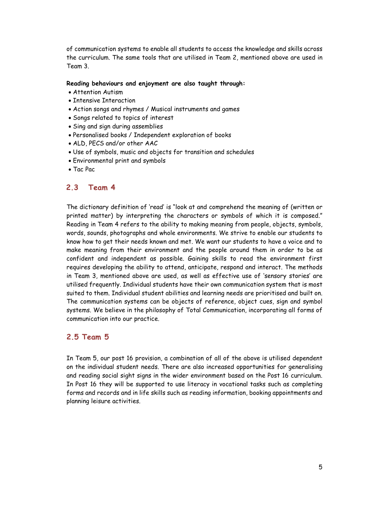of communication systems to enable all students to access the knowledge and skills across the curriculum. The same tools that are utilised in Team 2, mentioned above are used in Team 3.

#### Reading behaviours and enjoyment are also taught through:

- Attention Autism
- Intensive Interaction
- Action songs and rhymes / Musical instruments and games
- Songs related to topics of interest
- Sing and sign during assemblies
- Personalised books / Independent exploration of books
- ALD, PECS and/or other AAC
- Use of symbols, music and objects for transition and schedules
- Environmental print and symbols
- Tac Pac

### 2.3 Team 4

The dictionary definition of 'read' is "look at and comprehend the meaning of (written or printed matter) by interpreting the characters or symbols of which it is composed." Reading in Team 4 refers to the ability to making meaning from people, objects, symbols, words, sounds, photographs and whole environments. We strive to enable our students to know how to get their needs known and met. We want our students to have a voice and to make meaning from their environment and the people around them in order to be as confident and independent as possible. Gaining skills to read the environment first requires developing the ability to attend, anticipate, respond and interact. The methods in Team 3, mentioned above are used, as well as effective use of 'sensory stories' are utilised frequently. Individual students have their own communication system that is most suited to them. Individual student abilities and learning needs are prioritised and built on. The communication systems can be objects of reference, object cues, sign and symbol systems. We believe in the philosophy of Total Communication, incorporating all forms of communication into our practice.

### 2.5 Team 5

In Team 5, our post 16 provision, a combination of all of the above is utilised dependent on the individual student needs. There are also increased opportunities for generalising and reading social sight signs in the wider environment based on the Post 16 curriculum. In Post 16 they will be supported to use literacy in vocational tasks such as completing forms and records and in life skills such as reading information, booking appointments and planning leisure activities.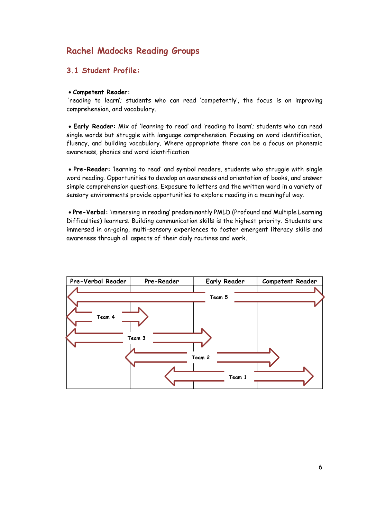## Rachel Madocks Reading Groups

### 3.1 Student Profile:

#### Competent Reader:

 'reading to learn'; students who can read 'competently', the focus is on improving comprehension, and vocabulary.

 Early Reader: Mix of 'learning to read' and 'reading to learn'; students who can read single words but struggle with language comprehension. Focusing on word identification, fluency, and building vocabulary. Where appropriate there can be a focus on phonemic awareness, phonics and word identification

 Pre-Reader: 'learning to read' and symbol readers, students who struggle with single word reading. Opportunities to develop an awareness and orientation of books, and answer simple comprehension questions. Exposure to letters and the written word in a variety of sensory environments provide opportunities to explore reading in a meaningful way.

 Pre-Verbal: 'immersing in reading' predominantly PMLD (Profound and Multiple Learning Difficulties) learners. Building communication skills is the highest priority. Students are immersed in on-going, multi-sensory experiences to foster emergent literacy skills and awareness through all aspects of their daily routines and work.

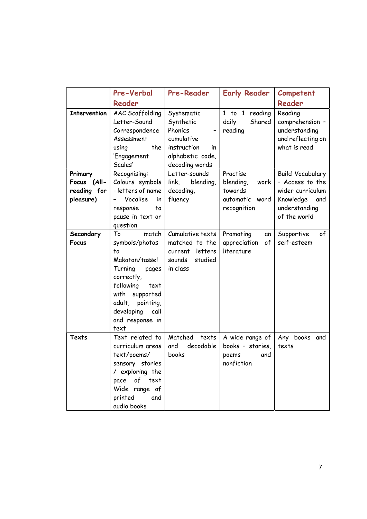|                                                    | Pre-Verbal                                                                                                                                                                                          | <b>Pre-Reader</b>                                                                                           | <b>Early Reader</b>                                                       | Competent                                                                                                           |
|----------------------------------------------------|-----------------------------------------------------------------------------------------------------------------------------------------------------------------------------------------------------|-------------------------------------------------------------------------------------------------------------|---------------------------------------------------------------------------|---------------------------------------------------------------------------------------------------------------------|
|                                                    | Reader                                                                                                                                                                                              |                                                                                                             |                                                                           | Reader                                                                                                              |
| <b>Intervention</b>                                | AAC Scaffolding<br>Letter-Sound<br>Correspondence<br>Assessment<br>the<br>using<br>'Engagement<br>Scales'                                                                                           | Systematic<br>Synthetic<br>Phonics<br>cumulative<br>instruction<br>in<br>alphabetic code,<br>decoding words | 1 to 1 reading<br>Shared<br>daily<br>reading                              | Reading<br>comprehension -<br>understanding<br>and reflecting on<br>what is read                                    |
| Primary<br>Focus (All-<br>reading for<br>pleasure) | Recognising:<br>Colours symbols<br>- letters of name<br>Vocalise<br>in<br>to<br>response<br>pause in text or<br>question                                                                            | Letter-sounds<br>link, blending,<br>decoding,<br>fluency                                                    | Practise<br>blending,<br>work<br>towards<br>automatic word<br>recognition | <b>Build Vocabulary</b><br>- Access to the<br>wider curriculum<br>Knowledge<br>and<br>understanding<br>of the world |
| Secondary<br><b>Focus</b>                          | match<br>To<br>symbols/photos<br>to<br>Makaton/tassel<br>Turning<br>pages<br>correctly,<br>following<br>text<br>with supported<br>adult, pointing,<br>developing<br>call<br>and response in<br>text | Cumulative texts<br>matched to the<br>current letters<br>studied<br>sounds<br>in class                      | Promoting<br>an<br>appreciation<br>of<br>literature                       | Supportive<br>of<br>self-esteem                                                                                     |
| Texts                                              | Text related to<br>curriculum areas<br>text/poems/<br>sensory stories<br>/ exploring the<br>of<br>text<br>pace<br>Wide range of<br>printed<br>and<br>audio books                                    | Matched<br>texts<br>decodable<br>and<br>books                                                               | A wide range of<br>books - stories,<br>poems<br>and<br>nonfiction         | Any books and<br>texts                                                                                              |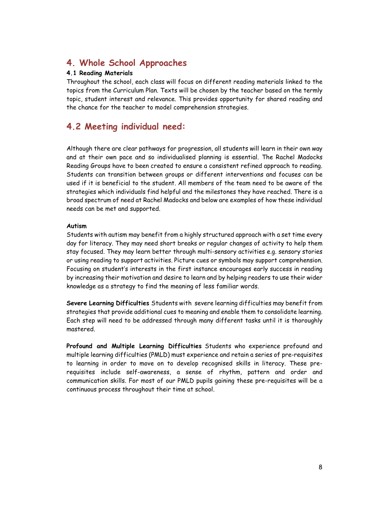### 4. Whole School Approaches

### 4.1 Reading Materials

Throughout the school, each class will focus on different reading materials linked to the topics from the Curriculum Plan. Texts will be chosen by the teacher based on the termly topic, student interest and relevance. This provides opportunity for shared reading and the chance for the teacher to model comprehension strategies.

### 4.2 Meeting individual need:

Although there are clear pathways for progression, all students will learn in their own way and at their own pace and so individualised planning is essential. The Rachel Madocks Reading Groups have to been created to ensure a consistent refined approach to reading. Students can transition between groups or different interventions and focuses can be used if it is beneficial to the student. All members of the team need to be aware of the strategies which individuals find helpful and the milestones they have reached. There is a broad spectrum of need at Rachel Madocks and below are examples of how these individual needs can be met and supported.

#### Autism

Students with autism may benefit from a highly structured approach with a set time every day for literacy. They may need short breaks or regular changes of activity to help them stay focused. They may learn better through multi-sensory activities e.g. sensory stories or using reading to support activities. Picture cues or symbols may support comprehension. Focusing on student's interests in the first instance encourages early success in reading by increasing their motivation and desire to learn and by helping readers to use their wider knowledge as a strategy to find the meaning of less familiar words.

Severe Learning Difficulties Students with severe learning difficulties may benefit from strategies that provide additional cues to meaning and enable them to consolidate learning. Each step will need to be addressed through many different tasks until it is thoroughly mastered.

Profound and Multiple Learning Difficulties Students who experience profound and multiple learning difficulties (PMLD) must experience and retain a series of pre-requisites to learning in order to move on to develop recognised skills in literacy. These prerequisites include self-awareness, a sense of rhythm, pattern and order and communication skills. For most of our PMLD pupils gaining these pre-requisites will be a continuous process throughout their time at school.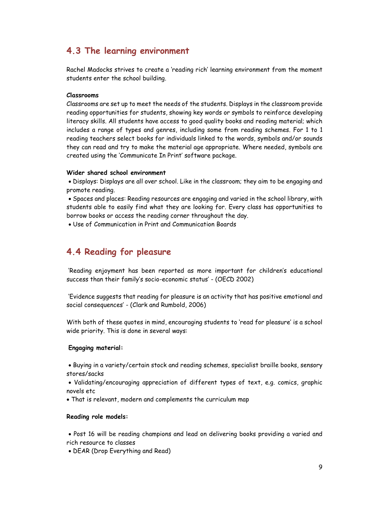### 4.3 The learning environment

Rachel Madocks strives to create a 'reading rich' learning environment from the moment students enter the school building.

#### Classrooms

Classrooms are set up to meet the needs of the students. Displays in the classroom provide reading opportunities for students, showing key words or symbols to reinforce developing literacy skills. All students have access to good quality books and reading material; which includes a range of types and genres, including some from reading schemes. For 1 to 1 reading teachers select books for individuals linked to the words, symbols and/or sounds they can read and try to make the material age appropriate. Where needed, symbols are created using the 'Communicate In Print' software package.

#### Wider shared school environment

 Displays: Displays are all over school. Like in the classroom; they aim to be engaging and promote reading.

 Spaces and places: Reading resources are engaging and varied in the school library, with students able to easily find what they are looking for. Every class has opportunities to borrow books or access the reading corner throughout the day.

Use of Communication in Print and Communication Boards

### 4.4 Reading for pleasure

 'Reading enjoyment has been reported as more important for children's educational success than their family's socio-economic status' - (OECD 2002)

 'Evidence suggests that reading for pleasure is an activity that has positive emotional and social consequences' - (Clark and Rumbold, 2006)

With both of these quotes in mind, encouraging students to 'read for pleasure' is a school wide priority. This is done in several ways:

#### Engaging material:

 Buying in a variety/certain stock and reading schemes, specialist braille books, sensory stores/sacks

 Validating/encouraging appreciation of different types of text, e.g. comics, graphic novels etc

That is relevant, modern and complements the curriculum map

#### Reading role models:

 Post 16 will be reading champions and lead on delivering books providing a varied and rich resource to classes

DEAR (Drop Everything and Read)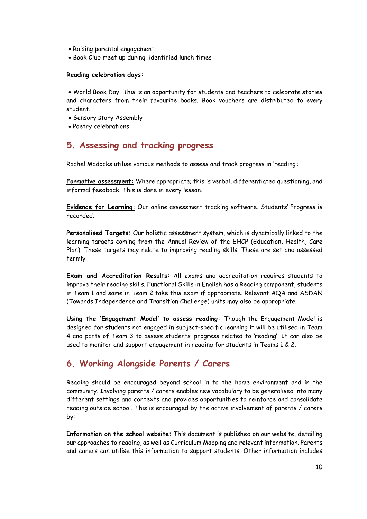- Raising parental engagement
- Book Club meet up during identified lunch times

#### Reading celebration days:

 World Book Day: This is an opportunity for students and teachers to celebrate stories and characters from their favourite books. Book vouchers are distributed to every student.

- Sensory story Assembly
- Poetry celebrations

### 5. Assessing and tracking progress

Rachel Madocks utilise various methods to assess and track progress in 'reading':

Formative assessment: Where appropriate; this is verbal, differentiated questioning, and informal feedback. This is done in every lesson.

Evidence for Learning: Our online assessment tracking software. Students' Progress is recorded.

Personalised Targets: Our holistic assessment system, which is dynamically linked to the learning targets coming from the Annual Review of the EHCP (Education, Health, Care Plan). These targets may relate to improving reading skills. These are set and assessed termly.

Exam and Accreditation Results: All exams and accreditation requires students to improve their reading skills. Functional Skills in English has a Reading component, students in Team 1 and some in Team 2 take this exam if appropriate. Relevant AQA and ASDAN (Towards Independence and Transition Challenge) units may also be appropriate.

Using the 'Engagement Model' to assess reading: Though the Engagement Model is designed for students not engaged in subject-specific learning it will be utilised in Team 4 and parts of Team 3 to assess students' progress related to 'reading'. It can also be used to monitor and support engagement in reading for students in Teams 1 & 2.

### 6. Working Alongside Parents / Carers

Reading should be encouraged beyond school in to the home environment and in the community. Involving parents / carers enables new vocabulary to be generalised into many different settings and contexts and provides opportunities to reinforce and consolidate reading outside school. This is encouraged by the active involvement of parents / carers by:

Information on the school website: This document is published on our website, detailing our approaches to reading, as well as Curriculum Mapping and relevant information. Parents and carers can utilise this information to support students. Other information includes